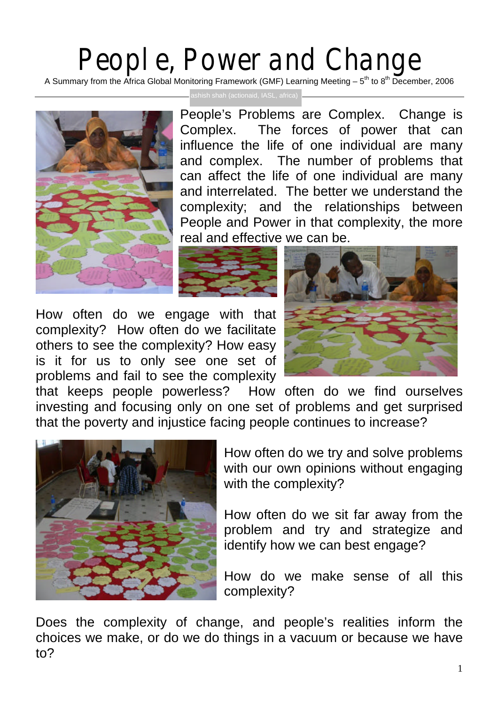## People, Power and Change

A Summary from the Africa Global Monitoring Framework (GMF) Learning Meeting – 5<sup>th</sup> to 8<sup>th</sup> December, 2006



ashish shah (actionaid, IASL, africa)

People's Problems are Complex. Change is Complex. The forces of power that can influence the life of one individual are many and complex. The number of problems that can affect the life of one individual are many and interrelated. The better we understand the complexity; and the relationships between People and Power in that complexity, the more real and effective we can be.



How often do we engage with that complexity? How often do we facilitate others to see the complexity? How easy is it for us to only see one set of problems and fail to see the complexity



that keeps people powerless? How often do we find ourselves investing and focusing only on one set of problems and get surprised that the poverty and injustice facing people continues to increase?



How often do we try and solve problems with our own opinions without engaging with the complexity?

How often do we sit far away from the problem and try and strategize and identify how we can best engage?

How do we make sense of all this complexity?

Does the complexity of change, and people's realities inform the choices we make, or do we do things in a vacuum or because we have to?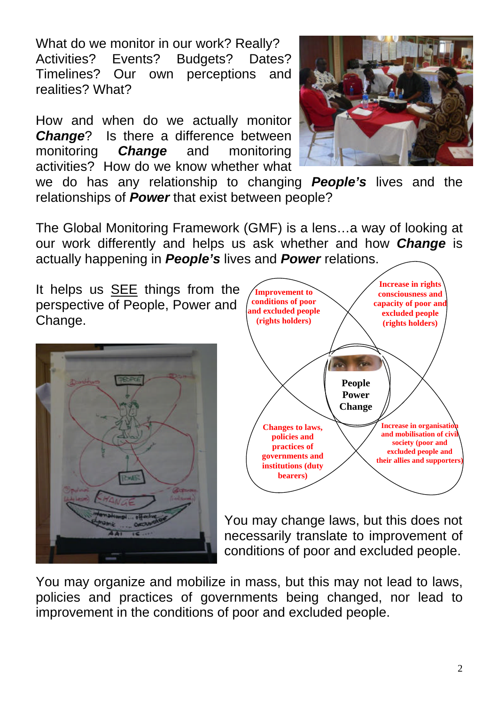What do we monitor in our work? Really? Activities? Events? Budgets? Dates? Timelines? Our own perceptions and realities? What?

How and when do we actually monitor *Change*? Is there a difference between monitoring *Change* and monitoring activities? How do we know whether what



we do has any relationship to changing *People's* lives and the relationships of *Power* that exist between people?

The Global Monitoring Framework (GMF) is a lens…a way of looking at our work differently and helps us ask whether and how *Change* is actually happening in *People's* lives and *Power* relations.

It helps us SEE things from the perspective of People, Power and Change.





You may change laws, but this does not necessarily translate to improvement of conditions of poor and excluded people.

You may organize and mobilize in mass, but this may not lead to laws, policies and practices of governments being changed, nor lead to improvement in the conditions of poor and excluded people.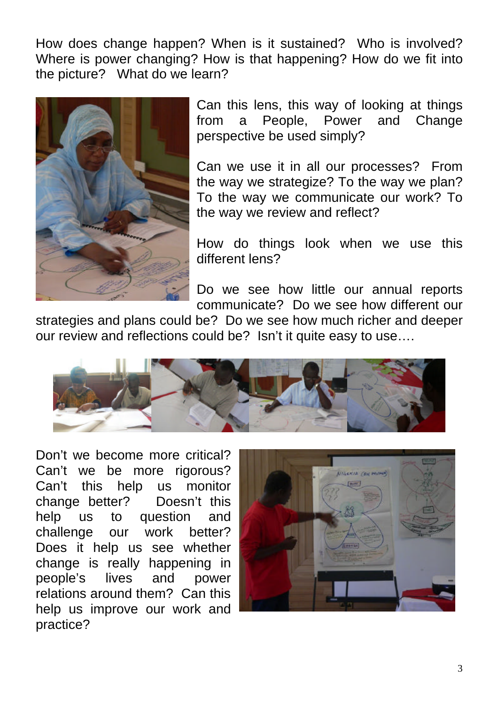How does change happen? When is it sustained? Who is involved? Where is power changing? How is that happening? How do we fit into the picture? What do we learn?



Can this lens, this way of looking at things from a People, Power and Change perspective be used simply?

Can we use it in all our processes? From the way we strategize? To the way we plan? To the way we communicate our work? To the way we review and reflect?

How do things look when we use this different lens?

Do we see how little our annual reports communicate? Do we see how different our

strategies and plans could be? Do we see how much richer and deeper our review and reflections could be? Isn't it quite easy to use….



Don't we become more critical? Can't we be more rigorous? Can't this help us monitor change better? Doesn't this help us to question and challenge our work better? Does it help us see whether change is really happening in people's lives and power relations around them? Can this help us improve our work and practice?

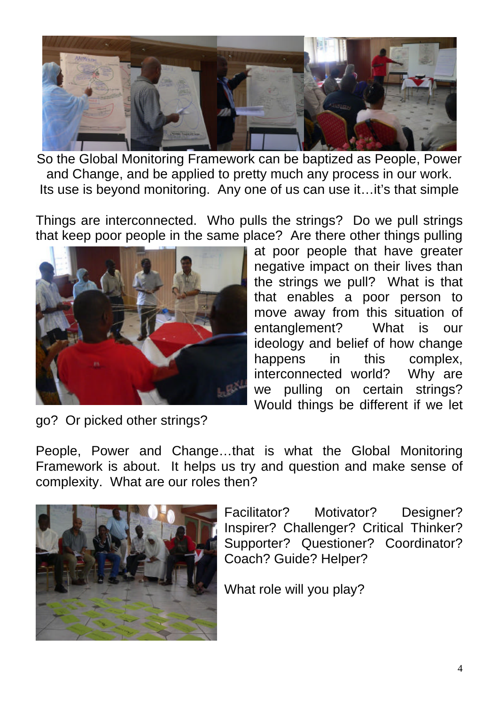

So the Global Monitoring Framework can be baptized as People, Power and Change, and be applied to pretty much any process in our work. Its use is beyond monitoring. Any one of us can use it...it's that simple

Things are interconnected. Who pulls the strings? Do we pull strings that keep poor people in the same place? Are there other things pulling



at poor people that have greater negative impact on their lives than the strings we pull? What is that that enables a poor person to move away from this situation of entanglement? What is our ideology and belief of how change happens in this complex, interconnected world? Why are we pulling on certain strings? Would things be different if we let

go? Or picked other strings?

People, Power and Change…that is what the Global Monitoring Framework is about. It helps us try and question and make sense of complexity. What are our roles then?



Facilitator? Motivator? Designer? Inspirer? Challenger? Critical Thinker? Supporter? Questioner? Coordinator? Coach? Guide? Helper?

What role will you play?